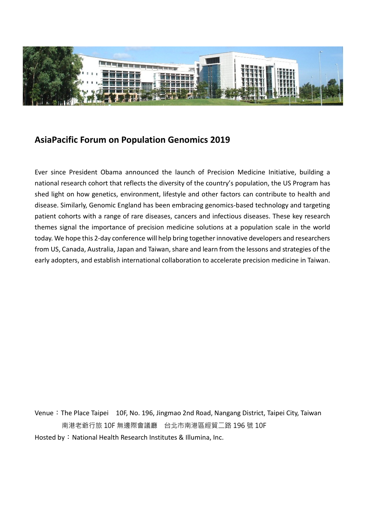

## **AsiaPacific Forum on Population Genomics 2019**

Ever since President Obama announced the launch of Precision Medicine Initiative, building a national research cohort that reflects the diversity of the country's population, the US Program has shed light on how genetics, environment, lifestyle and other factors can contribute to health and disease. Similarly, Genomic England has been embracing genomics-based technology and targeting patient cohorts with a range of rare diseases, cancers and infectious diseases. These key research themes signal the importance of precision medicine solutions at a population scale in the world today. We hope this 2-day conference will help bring together innovative developers and researchers from US, Canada, Australia, Japan and Taiwan, share and learn from the lessons and strategies of the early adopters, and establish international collaboration to accelerate precision medicine in Taiwan.

Venue: The Place Taipei 10F, No. 196, Jingmao 2nd Road, Nangang District, Taipei City, Taiwan 南港老爺行旅 10F 無邊際會議廳 台北市南港區經貿二路 196 號 10F Hosted by: National Health Research Institutes & Illumina, Inc.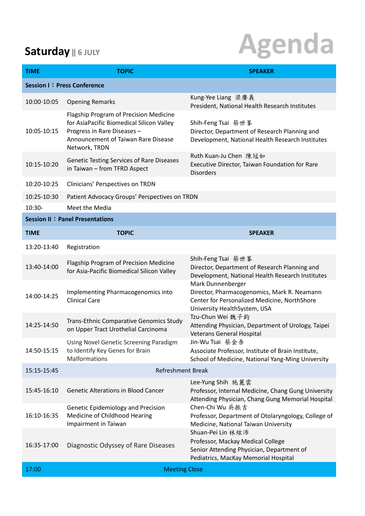# **Saturday IIGULY Agenda**

| <b>TIME</b>                            | <b>TOPIC</b>                                                                                                                                                               | <b>SPEAKER</b>                                                                                                                                   |  |
|----------------------------------------|----------------------------------------------------------------------------------------------------------------------------------------------------------------------------|--------------------------------------------------------------------------------------------------------------------------------------------------|--|
| <b>Session I: Press Conference</b>     |                                                                                                                                                                            |                                                                                                                                                  |  |
| 10:00-10:05                            | <b>Opening Remarks</b>                                                                                                                                                     | Kung-Yee Liang 梁 賡 義<br>President, National Health Research Institutes                                                                           |  |
| 10:05-10:15                            | Flagship Program of Precision Medicine<br>for AsiaPacific Biomedical Silicon Valley<br>Progress in Rare Diseases -<br>Announcement of Taiwan Rare Disease<br>Network, TRDN | Shih-Feng Tsai 蔡世峯<br>Director, Department of Research Planning and<br>Development, National Health Research Institutes                          |  |
| 10:15-10:20                            | <b>Genetic Testing Services of Rare Diseases</b><br>in Taiwan - from TFRD Aspect                                                                                           | Ruth Kuan-Ju Chen 陳冠如<br>Executive Director, Taiwan Foundation for Rare<br><b>Disorders</b>                                                      |  |
| 10:20-10:25                            | Clinicians' Perspectives on TRDN                                                                                                                                           |                                                                                                                                                  |  |
| 10:25-10:30<br>$10:30-$                | Patient Advocacy Groups' Perspectives on TRDN<br>Meet the Media                                                                                                            |                                                                                                                                                  |  |
| <b>Session II: Panel Presentations</b> |                                                                                                                                                                            |                                                                                                                                                  |  |
| <b>TIME</b>                            | <b>TOPIC</b>                                                                                                                                                               | <b>SPEAKER</b>                                                                                                                                   |  |
| 13:20-13:40                            | Registration                                                                                                                                                               |                                                                                                                                                  |  |
| 13:40-14:00                            | Flagship Program of Precision Medicine<br>for Asia-Pacific Biomedical Silicon Valley                                                                                       | Shih-Feng Tsai 蔡世峯<br>Director, Department of Research Planning and<br>Development, National Health Research Institutes                          |  |
| 14:00-14:25                            | Implementing Pharmacogenomics into<br><b>Clinical Care</b>                                                                                                                 | Mark Dunnenberger<br>Director, Pharmacogenomics, Mark R. Neamann<br>Center for Personalized Medicine, NorthShore<br>University HealthSystem, USA |  |
| 14:25-14:50                            | Trans-Ethnic Comparative Genomics Study<br>on Upper Tract Urothelial Carcinoma                                                                                             | Tzu-Chun Wei 魏子鈞<br>Attending Physician, Department of Urology, Taipei<br><b>Veterans General Hospital</b>                                       |  |
| 14:50-15:15                            | Using Novel Genetic Screening Paradigm<br>to Identify Key Genes for Brain<br>Malformations                                                                                 | Jin-Wu Tsai 蔡金吾<br>Associate Professor, Institute of Brain Institute,<br>School of Medicine, National Yang-Ming University                       |  |
| 15:15-15:45                            | <b>Refreshment Break</b>                                                                                                                                                   |                                                                                                                                                  |  |
| 15:45-16:10                            | <b>Genetic Alterations in Blood Cancer</b>                                                                                                                                 | Lee-Yung Shih 施麗雲<br>Professor, Internal Medicine, Chang Gung University<br>Attending Physician, Chang Gung Memorial Hospital                    |  |
| 16:10-16:35                            | Genetic Epidemiology and Precision<br>Medicine of Childhood Hearing<br>Impairment in Taiwan                                                                                | Chen-Chi Wu 吳振吉<br>Professor, Department of Otolaryngology, College of<br>Medicine, National Taiwan University                                   |  |
| 16:35-17:00                            | Diagnostic Odyssey of Rare Diseases                                                                                                                                        | Shuan-Pei Lin 林炫沛<br>Professor, Mackay Medical College<br>Senior Attending Physician, Department of<br>Pediatrics, MacKay Memorial Hospital      |  |
| 17:00                                  | <b>Meeting Close</b>                                                                                                                                                       |                                                                                                                                                  |  |